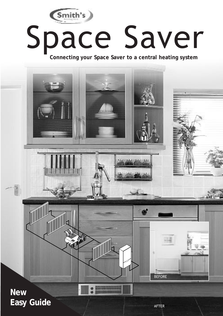

**Connecting your Space Saver to a central heating system**

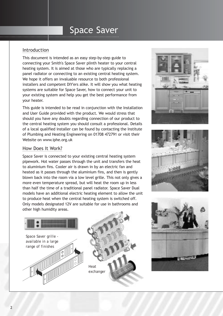## Introduction

This document is intended as an easy step-by-step guide to connecting your Smith's Space Saver plinth heater to your central heating system. It is aimed at those who are typically replacing a panel radiator or connecting to an existing central heating system. We hope it offers an invaluable resource to both professional installers and competent DIY'ers alike. It will show you what heating systems are suitable for Space Saver, how to connect your unit to your existing system and help you get the best performance from your heater.

This guide is intended to be read in conjunction with the Installation and User Guide provided with the product. We would stress that should you have any doubts regarding connection of our product to the central heating system you should consult a professional. Details of a local qualified installer can be found by contacting the Institute of Plumbing and Heating Engineering on 01708 472791 or visit their Website on www.iphe.org.uk

#### How Does It Work?

Space Saver is connected to your existing central heating system pipework. Hot water passes through the unit and transfers the heat to aluminium fins. Cooler air is drawn in by an electric fan and heated as it passes through the aluminium fins, and then is gently blown back into the room via a low level grille. This not only gives a more even temperature spread, but will heat the room up in less than half the time of a traditional panel radiator. Space Saver Dual models have an additional electric heating element to allow the unit to produce heat when the central heating system is switched off. Only models designated 12V are suitable for use in bathrooms and other high humidity areas.







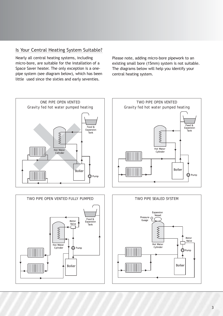## Is Your Central Heating System Suitable?

Nearly all central heating systems, including micro-bore, are suitable for the installation of a Space Saver heater. The only exception is a onepipe system (see diagram below), which has been little used since the sixties and early seventies.

Please note, adding micro-bore pipework to an existing small bore (15mm) system is not suitable. The diagrams below will help you identify your central heating system.







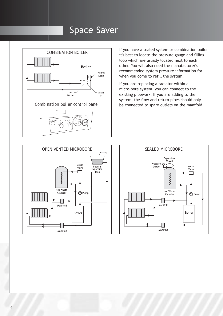

If you have a sealed system or combination boiler it's best to locate the pressure gauge and filling loop which are usually located next to each other. You will also need the manufacturer's recommended system pressure information for when you come to refill the system.

If you are replacing a radiator within a micro-bore system, you can connect to the existing pipework. If you are adding to the system, the flow and return pipes should only be connected to spare outlets on the manifold.



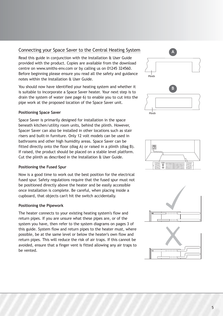### Connecting your Space Saver to the Central Heating System

Read this guide in conjunction with the Installation & User Guide provided with the product. Copies are available from the download centre on www.smiths-env.com or by calling us on 01245 324560. Before beginning please ensure you read all the safety and guidance notes within the Installation & User Guide.

You should now have identified your heating system and whether it is suitable to incorporate a Space Saver heater. Your next step is to drain the system of water (see page 6) to enable you to cut into the pipe work at the proposed location of the Space Saver unit.

#### **Positioning Space Saver**

Space Saver is primarily designed for installation in the space beneath kitchen/utility room units, behind the plinth. However, Spacer Saver can also be installed in other locations such as stair risers and built-in furniture. Only 12 volt models can be used in bathrooms and other high humidity areas. Space Saver can be fitted directly onto the floor (diag A) or raised in a plinth (diag B). If raised, the product should be placed on a stable level platform. Cut the plinth as described in the Installation & User Guide.

#### **Positioning the Fused Spur**

Now is a good time to work out the best position for the electrical fused spur. Safety regulations require that the fused spur must not be positioned directly above the heater and be easily accessible once installation is complete. Be careful, when placing inside a cupboard, that objects can't hit the switch accidentally.

#### **Positioning the Pipework**

The heater connects to your existing heating system's flow and return pipes. If you are unsure what these pipes are, or of the system you have, then refer to the system diagrams on pages 3 of this guide. System flow and return pipes to the heater must, where possible, be at the same level or below the heater's own flow and return pipes. This will reduce the risk of air traps. If this cannot be avoided, ensure that a finger vent is fitted allowing any air traps to be vented.





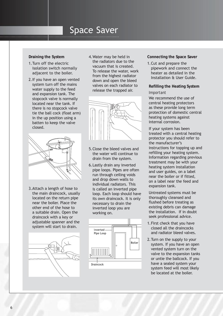#### **Draining the System**

- 1.Turn off the electric isolation switch normally adjacent to the boiler.
- 2.If you have an open vented system turn off the mains water supply to the feed and expansion tank. The stopcock valve is normally located near the tank. If there is no stopcock valve tie the ball cock (float arm) in the up position using a batten to keep the valve closed.



3.Attach a length of hose to the main draincock, usually located on the return pipe near the boiler. Place the other end of the hose to a suitable drain. Open the draincock with a key or adjustable spanner and the system will start to drain.



4.Water may be held in the radiators due to the vacuum that is created. To release the water, work from the highest radiator down and open the bleed valves on each radiator to release the trapped air.



- 5.Close the bleed valves and the water will continue to drain from the system.
- 6.Lastly drain any inverted pipe loops. Pipes are often run through ceiling voids and drop down walls to individual radiators. This is called an inverted pipe loop. Each loop should have its own draincock. It is only necessary to drain the inverted loop you are working on.



**Connecting the Space Saver**

1.Cut and prepare the pipework and connect the heater as detailed in the Installation & User Guide.

#### **Refilling the Heating System** *Important*

We recommend the use of central heating protectors as these provide long term protection of domestic central heating systems against internal corrosion.

If your system has been treated with a central heating protector you should refer to the manufacturer's instructions for topping up and refilling your heating system. Information regarding previous treatment may be with your heating system installation and user guides, on a label near the boiler or if fitted, on a label near the feed and expansion tank.

Untreated systems must be thoroughly cleansed and flushed before treating as existing debris can damage the installation. If in doubt seek professional advice.

- 1.First check that you have closed all the draincocks and radiator bleed valves.
- 2.Turn on the supply to your system. If you have an open vented system turn on the valve to the expansion tanks or untie the ballcock. If you have a sealed system your system feed will most likely be located at the boiler.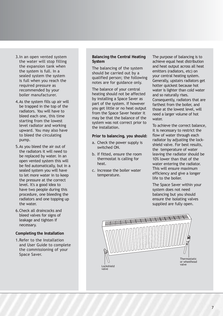- 3.In an open vented system the water will stop filling the expansion tank when the system is full. In a sealed system the system is full when you reach the required pressure as recommended by your boiler manufacturer.
- 4.As the system fills up air will be trapped in the top of the radiators. You will have to bleed each one, this time starting from the lowest level radiator and working upward. You may also have to bleed the circulating pump.
- 5.As you bleed the air out of the radiators it will need to be replaced by water. In an open vented system this will be fed automatically, but in a sealed system you will have to let more water in to keep the pressure at the correct level. It's a good idea to have two people during this procedure, one bleeding the radiators and one topping up the water.
- 6.Check all draincocks and bleed valves for signs of leakage and tighten if necessary.

#### **Completing the Installation**

1.Refer to the Installation and User Guide to complete the commissioning of your Space Saver.

**Balancing the Central Heating System**

The balancing of the system should be carried out by a qualified person; the following notes are for guidance only.

The balance of your central heating should not be affected by installing a Space Saver as part of the system. If however you get little or no heat output from the Space Saver heater it may be that the balance of the system was not correct prior to the installation.

**Prior to balancing, you should:**

- a. Check the power supply is switched ON.
- b. If fitted, ensure the room thermostat is calling for heat.
- c. Increase the boiler water temperature.

The purpose of balancing is to achieve equal heat distribution and heat output across all heat emitters (radiators, etc) on your central heating system. Generally, upstairs radiators get hotter quickest because hot water is lighter than cold water and so naturally rises. Consequently, radiators that are farthest from the boiler, and those at the lowest level, will need a larger volume of hot water.

To achieve the correct balance, it is necessary to restrict the flow of water through each radiator by adjusting the lockshield valve. For best results, the temperature of water leaving the radiator should be 10% lower than that of the water entering the radiator. This will ensure maximum efficiency and give a longer life to the boiler.

The Space Saver within your system does not need balancing but you should ensure the isolating valves supplied are fully open.